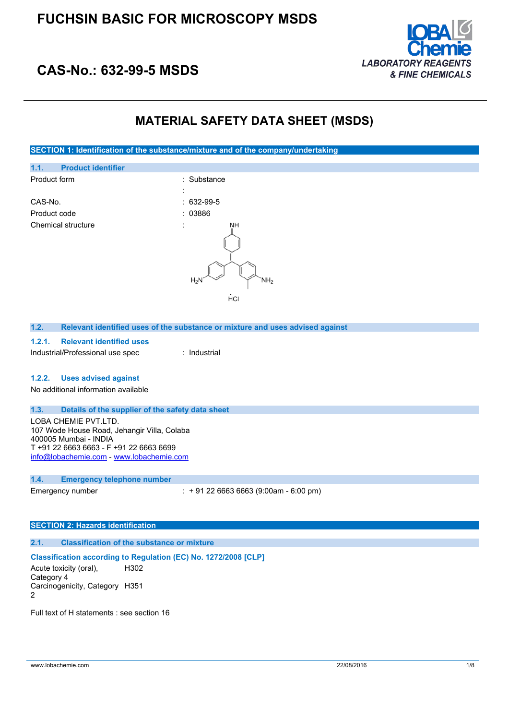

## **CAS-No.: 632-99-5 MSDS**

## **MATERIAL SAFETY DATA SHEET (MSDS)**

**SECTION 1: Identification of the substance/mixture and of the company/undertaking**



### **1.2. Relevant identified uses of the substance or mixture and uses advised against**

#### **1.2.1. Relevant identified uses**

Industrial/Professional use spec : Industrial

#### **1.2.2. Uses advised against**

No additional information available

#### **1.3. Details of the supplier of the safety data sheet**

LOBA CHEMIE PVT.LTD. 107 Wode House Road, Jehangir Villa, Colaba 400005 Mumbai - INDIA T +91 22 6663 6663 - F +91 22 6663 6699 [info@lobachemie.com](mailto:info@lobachemie.com) - <www.lobachemie.com>

### **1.4. Emergency telephone number**

Emergency number : + 91 22 6663 6663 (9:00am - 6:00 pm)

#### **SECTION 2: Hazards identification**

### **2.1. Classification of the substance or mixture**

### **Classification according to Regulation (EC) No. 1272/2008 [CLP]**

Acute toxicity (oral), Category 4 H302 Carcinogenicity, Category H351 2

Full text of H statements : see section 16

www.lobachemie.com 22/08/2016 22/08/2016 1/8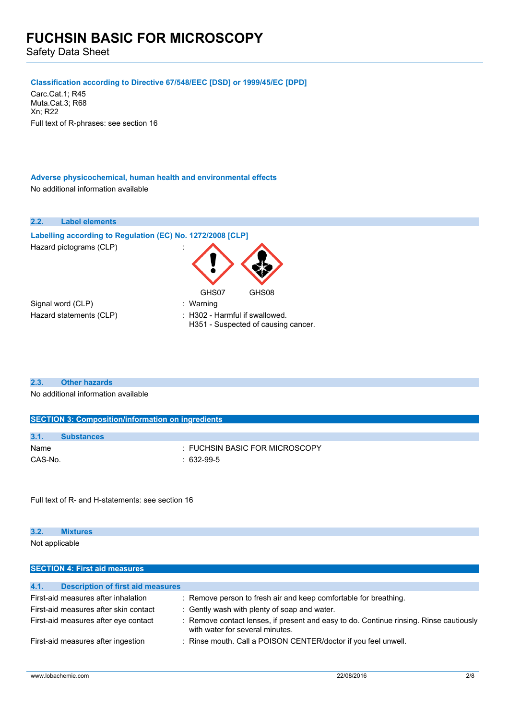Safety Data Sheet

## **Classification according to Directive 67/548/EEC [DSD] or 1999/45/EC [DPD]**

Carc.Cat.1; R45 Muta.Cat.3; R68 Xn; R22 Full text of R-phrases: see section 16

## **Adverse physicochemical, human health and environmental effects** No additional information available

## **2.2. Label elements**

| Labelling according to Regulation (EC) No. 1272/2008 [CLP] |                                                                       |  |
|------------------------------------------------------------|-----------------------------------------------------------------------|--|
| Hazard pictograms (CLP)                                    |                                                                       |  |
|                                                            | GHS07<br>GHS08                                                        |  |
| Signal word (CLP)                                          | : Warning                                                             |  |
| Hazard statements (CLP)                                    | : H302 - Harmful if swallowed.<br>H351 - Suspected of causing cancer. |  |

### **2.3. Other hazards**

No additional information available

| <b>SECTION 3: Composition/information on ingredients</b> |                   |                                |
|----------------------------------------------------------|-------------------|--------------------------------|
|                                                          |                   |                                |
| 3.1.                                                     | <b>Substances</b> |                                |
| Name                                                     |                   | : FUCHSIN BASIC FOR MICROSCOPY |
| CAS-No.                                                  |                   | $: 632-99-5$                   |
|                                                          |                   |                                |

Full text of R- and H-statements: see section 16

| 3.2. | <b>Mixtures</b>                      |  |
|------|--------------------------------------|--|
|      | Not applicable                       |  |
|      |                                      |  |
|      | <b>SECTION 4: First aid measures</b> |  |

| <b>Description of first aid measures</b><br>4.1. |                                                                                                                           |
|--------------------------------------------------|---------------------------------------------------------------------------------------------------------------------------|
| First-aid measures after inhalation              | : Remove person to fresh air and keep comfortable for breathing.                                                          |
| First-aid measures after skin contact            | : Gently wash with plenty of soap and water.                                                                              |
| First-aid measures after eye contact             | : Remove contact lenses, if present and easy to do. Continue rinsing. Rinse cautiously<br>with water for several minutes. |
| First-aid measures after ingestion               | : Rinse mouth. Call a POISON CENTER/doctor if you feel unwell.                                                            |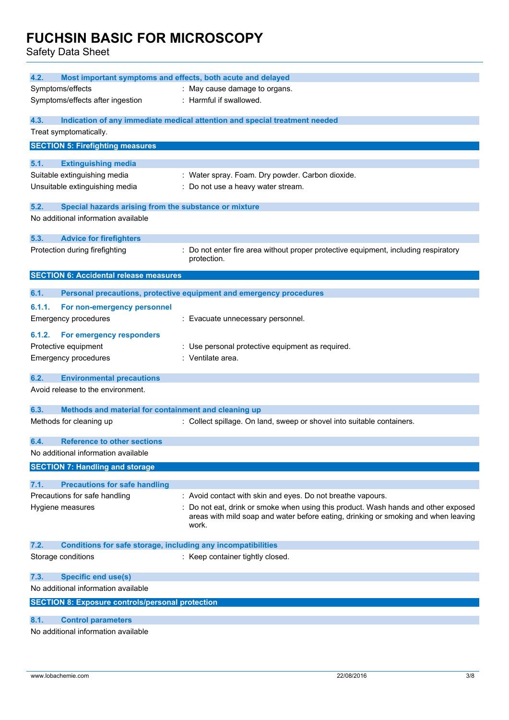Safety Data Sheet

| 4.2.<br>Most important symptoms and effects, both acute and delayed         |                                                                                                                                                   |
|-----------------------------------------------------------------------------|---------------------------------------------------------------------------------------------------------------------------------------------------|
| Symptoms/effects                                                            | : May cause damage to organs.                                                                                                                     |
| Symptoms/effects after ingestion                                            | : Harmful if swallowed.                                                                                                                           |
|                                                                             |                                                                                                                                                   |
| 4.3.                                                                        | Indication of any immediate medical attention and special treatment needed                                                                        |
| Treat symptomatically.                                                      |                                                                                                                                                   |
| <b>SECTION 5: Firefighting measures</b>                                     |                                                                                                                                                   |
| 5.1.<br><b>Extinguishing media</b>                                          |                                                                                                                                                   |
| Suitable extinguishing media                                                | : Water spray. Foam. Dry powder. Carbon dioxide.                                                                                                  |
| Unsuitable extinguishing media                                              | : Do not use a heavy water stream.                                                                                                                |
|                                                                             |                                                                                                                                                   |
| 5.2.<br>Special hazards arising from the substance or mixture               |                                                                                                                                                   |
| No additional information available                                         |                                                                                                                                                   |
| 5.3.<br><b>Advice for firefighters</b>                                      |                                                                                                                                                   |
| Protection during firefighting                                              | : Do not enter fire area without proper protective equipment, including respiratory                                                               |
|                                                                             | protection.                                                                                                                                       |
| <b>SECTION 6: Accidental release measures</b>                               |                                                                                                                                                   |
| 6.1.                                                                        | Personal precautions, protective equipment and emergency procedures                                                                               |
| 6.1.1.<br>For non-emergency personnel                                       |                                                                                                                                                   |
| <b>Emergency procedures</b>                                                 | : Evacuate unnecessary personnel.                                                                                                                 |
|                                                                             |                                                                                                                                                   |
| 6.1.2.<br>For emergency responders                                          |                                                                                                                                                   |
| Protective equipment                                                        | : Use personal protective equipment as required.                                                                                                  |
| <b>Emergency procedures</b>                                                 | : Ventilate area.                                                                                                                                 |
| 6.2.<br><b>Environmental precautions</b>                                    |                                                                                                                                                   |
| Avoid release to the environment.                                           |                                                                                                                                                   |
|                                                                             |                                                                                                                                                   |
| 6.3.<br>Methods and material for containment and cleaning up                |                                                                                                                                                   |
| Methods for cleaning up                                                     | : Collect spillage. On land, sweep or shovel into suitable containers.                                                                            |
| <b>Reference to other sections</b><br>6.4.                                  |                                                                                                                                                   |
| No additional information available                                         |                                                                                                                                                   |
| <b>SECTION 7: Handling and storage</b>                                      |                                                                                                                                                   |
|                                                                             |                                                                                                                                                   |
| 7.1.<br><b>Precautions for safe handling</b>                                |                                                                                                                                                   |
| Precautions for safe handling<br>Hygiene measures                           | : Avoid contact with skin and eyes. Do not breathe vapours.<br>: Do not eat, drink or smoke when using this product. Wash hands and other exposed |
|                                                                             | areas with mild soap and water before eating, drinking or smoking and when leaving                                                                |
|                                                                             | work.                                                                                                                                             |
|                                                                             |                                                                                                                                                   |
| 7.2.<br><b>Conditions for safe storage, including any incompatibilities</b> | : Keep container tightly closed.                                                                                                                  |
| Storage conditions                                                          |                                                                                                                                                   |
| 7.3.<br><b>Specific end use(s)</b>                                          |                                                                                                                                                   |
| No additional information available                                         |                                                                                                                                                   |
| <b>SECTION 8: Exposure controls/personal protection</b>                     |                                                                                                                                                   |
| 8.1.<br><b>Control parameters</b>                                           |                                                                                                                                                   |
| No additional information available                                         |                                                                                                                                                   |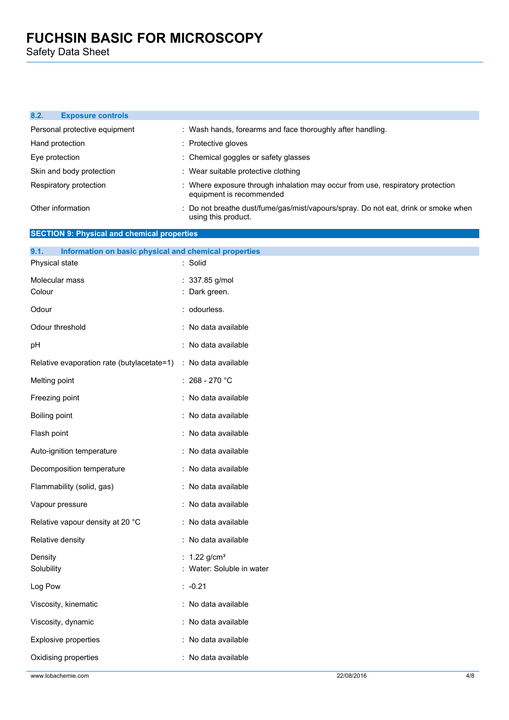Safety Data Sheet

## **8.2. Exposure controls**

| Personal protective equipment | : Wash hands, forearms and face thoroughly after handling.                                                 |
|-------------------------------|------------------------------------------------------------------------------------------------------------|
| Hand protection               | : Protective gloves                                                                                        |
| Eye protection                | : Chemical goggles or safety glasses                                                                       |
| Skin and body protection      | : Wear suitable protective clothing                                                                        |
| Respiratory protection        | : Where exposure through inhalation may occur from use, respiratory protection<br>equipment is recommended |
| Other information             | : Do not breathe dust/fume/gas/mist/vapours/spray. Do not eat, drink or smoke when<br>using this product.  |

## **SECTION 9: Physical and chemical properties**

| 9.1.<br>Information on basic physical and chemical properties |                          |
|---------------------------------------------------------------|--------------------------|
| Physical state                                                | Solid                    |
| Molecular mass                                                | 337.85 g/mol             |
| Colour                                                        | Dark green.              |
| Odour                                                         | : odourless.             |
| Odour threshold                                               | : No data available      |
| рH                                                            | : No data available      |
| Relative evaporation rate (butylacetate=1)                    | : No data available      |
| Melting point                                                 | : $268 - 270$ °C         |
| Freezing point                                                | : No data available      |
| Boiling point                                                 | : No data available      |
| Flash point                                                   | No data available        |
| Auto-ignition temperature                                     | : No data available      |
| Decomposition temperature                                     | : No data available      |
| Flammability (solid, gas)                                     | : No data available      |
| Vapour pressure                                               | No data available        |
| Relative vapour density at 20 °C                              | : No data available      |
| Relative density                                              | : No data available      |
| Density                                                       | $1.22$ g/cm <sup>3</sup> |
| Solubility                                                    | Water: Soluble in water  |
| Log Pow                                                       | $: -0.21$                |
| Viscosity, kinematic                                          | : No data available      |
| Viscosity, dynamic                                            | : No data available      |
| Explosive properties                                          | : No data available      |
| Oxidising properties                                          | : No data available      |
|                                                               |                          |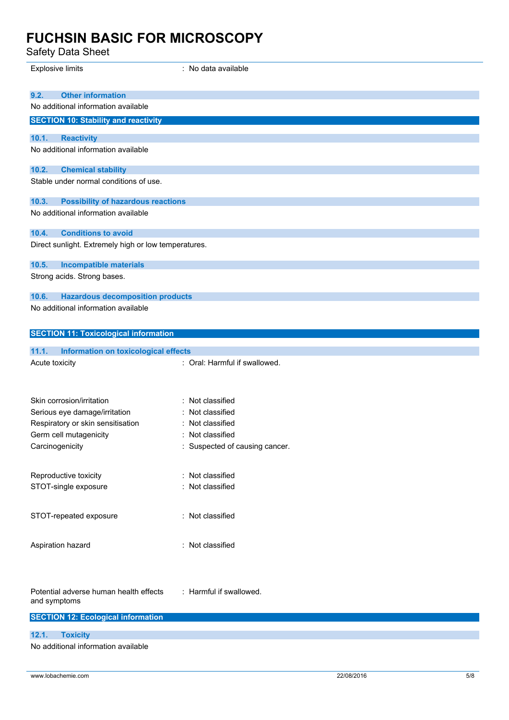Safety Data Sheet

| Odicty Data Officet                                                                       |                                    |
|-------------------------------------------------------------------------------------------|------------------------------------|
| <b>Explosive limits</b>                                                                   | : No data available                |
|                                                                                           |                                    |
| <b>Other information</b><br>9.2.                                                          |                                    |
| No additional information available                                                       |                                    |
| <b>SECTION 10: Stability and reactivity</b>                                               |                                    |
| 10.1.<br><b>Reactivity</b>                                                                |                                    |
| No additional information available                                                       |                                    |
|                                                                                           |                                    |
| 10.2.<br><b>Chemical stability</b>                                                        |                                    |
| Stable under normal conditions of use.                                                    |                                    |
|                                                                                           |                                    |
| 10.3.<br><b>Possibility of hazardous reactions</b><br>No additional information available |                                    |
|                                                                                           |                                    |
| 10.4.<br><b>Conditions to avoid</b>                                                       |                                    |
| Direct sunlight. Extremely high or low temperatures.                                      |                                    |
|                                                                                           |                                    |
| 10.5.<br><b>Incompatible materials</b>                                                    |                                    |
| Strong acids. Strong bases.                                                               |                                    |
| <b>Hazardous decomposition products</b><br>10.6.                                          |                                    |
| No additional information available                                                       |                                    |
|                                                                                           |                                    |
| <b>SECTION 11: Toxicological information</b>                                              |                                    |
|                                                                                           |                                    |
| 11.1.<br>Information on toxicological effects                                             |                                    |
| Acute toxicity                                                                            | : Oral: Harmful if swallowed.      |
|                                                                                           |                                    |
|                                                                                           |                                    |
| Skin corrosion/irritation                                                                 | Not classified                     |
| Serious eye damage/irritation<br>Respiratory or skin sensitisation                        | Not classified<br>: Not classified |
| Germ cell mutagenicity                                                                    | : Not classified                   |
| Carcinogenicity                                                                           | : Suspected of causing cancer.     |
|                                                                                           |                                    |
|                                                                                           |                                    |
| Reproductive toxicity                                                                     | : Not classified                   |
| STOT-single exposure                                                                      | : Not classified                   |
|                                                                                           |                                    |
| STOT-repeated exposure                                                                    | : Not classified                   |
|                                                                                           |                                    |
| Aspiration hazard                                                                         | : Not classified                   |
|                                                                                           |                                    |
|                                                                                           |                                    |
|                                                                                           |                                    |
| Potential adverse human health effects                                                    | : Harmful if swallowed.            |
| and symptoms                                                                              |                                    |
| <b>SECTION 12: Ecological information</b>                                                 |                                    |
|                                                                                           |                                    |
| 12.1.<br><b>Toxicity</b>                                                                  |                                    |

No additional information available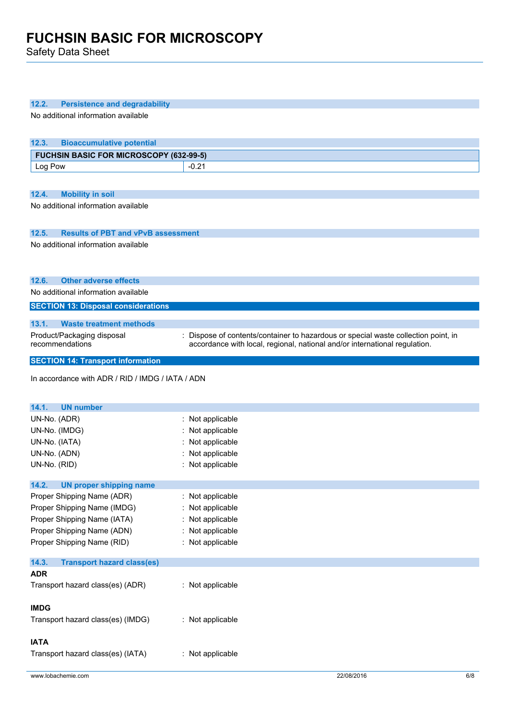Safety Data Sheet

| 12.2.<br><b>Persistence and degradability</b>             |                                                                                    |
|-----------------------------------------------------------|------------------------------------------------------------------------------------|
| No additional information available                       |                                                                                    |
|                                                           |                                                                                    |
| 12.3.<br><b>Bioaccumulative potential</b>                 |                                                                                    |
| <b>FUCHSIN BASIC FOR MICROSCOPY (632-99-5)</b><br>Log Pow | $-0.21$                                                                            |
|                                                           |                                                                                    |
| 12.4.<br><b>Mobility in soil</b>                          |                                                                                    |
| No additional information available                       |                                                                                    |
|                                                           |                                                                                    |
| 12.5.<br><b>Results of PBT and vPvB assessment</b>        |                                                                                    |
| No additional information available                       |                                                                                    |
|                                                           |                                                                                    |
|                                                           |                                                                                    |
| 12.6.<br><b>Other adverse effects</b>                     |                                                                                    |
| No additional information available                       |                                                                                    |
| <b>SECTION 13: Disposal considerations</b>                |                                                                                    |
| 13.1.<br><b>Waste treatment methods</b>                   |                                                                                    |
| Product/Packaging disposal<br>recommendations             | : Dispose of contents/container to hazardous or special waste collection point, in |
|                                                           | accordance with local, regional, national and/or international regulation.         |
| <b>SECTION 14: Transport information</b>                  |                                                                                    |
| In accordance with ADR / RID / IMDG / IATA / ADN          |                                                                                    |
|                                                           |                                                                                    |
| <b>UN number</b><br>14.1.                                 |                                                                                    |
| UN-No. (ADR)                                              | : Not applicable                                                                   |
| UN-No. (IMDG)                                             | : Not applicable                                                                   |
| UN-No. (IATA)                                             | : Not applicable                                                                   |
| UN-No. (ADN)                                              | : Not applicable                                                                   |
| UN-No. (RID)                                              | : Not applicable                                                                   |
| 14.2.<br><b>UN proper shipping name</b>                   |                                                                                    |
| Proper Shipping Name (ADR)                                | : Not applicable                                                                   |
| Proper Shipping Name (IMDG)                               | : Not applicable                                                                   |
| Proper Shipping Name (IATA)                               | : Not applicable                                                                   |
| Proper Shipping Name (ADN)                                | : Not applicable                                                                   |
| Proper Shipping Name (RID)                                | : Not applicable                                                                   |
|                                                           |                                                                                    |
| 14.3.<br><b>Transport hazard class(es)</b><br><b>ADR</b>  |                                                                                    |
| Transport hazard class(es) (ADR)                          | : Not applicable                                                                   |
|                                                           |                                                                                    |
| <b>IMDG</b>                                               |                                                                                    |
| Transport hazard class(es) (IMDG)                         | : Not applicable                                                                   |
|                                                           |                                                                                    |
| <b>IATA</b><br>Transport hazard class(es) (IATA)          | : Not applicable                                                                   |
|                                                           |                                                                                    |
| www.lobachemie.com                                        | 22/08/2016<br>6/8                                                                  |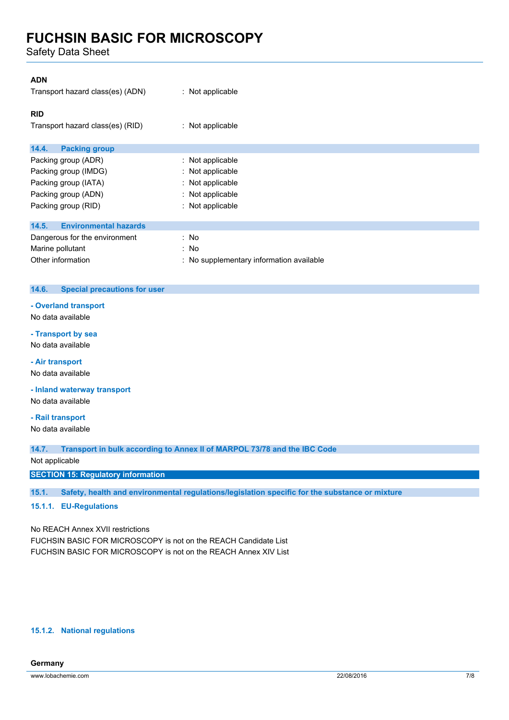Safety Data Sheet

| <b>ADN</b>                            |                                          |
|---------------------------------------|------------------------------------------|
| Transport hazard class(es) (ADN)      | : Not applicable                         |
| <b>RID</b>                            |                                          |
| Transport hazard class(es) (RID)      | : Not applicable                         |
| <b>Packing group</b><br>14.4.         |                                          |
| Packing group (ADR)                   | : Not applicable                         |
| Packing group (IMDG)                  | : Not applicable                         |
| Packing group (IATA)                  | : Not applicable                         |
| Packing group (ADN)                   | : Not applicable                         |
| Packing group (RID)                   | : Not applicable                         |
| <b>Environmental hazards</b><br>14.5. |                                          |
| Dangerous for the environment         | : No                                     |
| Marine pollutant                      | : No                                     |
| Other information                     | : No supplementary information available |

#### **14.6. Special precautions for user**

### **- Overland transport**

No data available

### **- Transport by sea**

No data available

## **- Air transport**

No data available

**- Inland waterway transport**

No data available

## **- Rail transport**

No data available

**14.7. Transport in bulk according to Annex II of MARPOL 73/78 and the IBC Code**

### Not applicable

**SECTION 15: Regulatory information**

**15.1. Safety, health and environmental regulations/legislation specific for the substance or mixture**

## **15.1.1. EU-Regulations**

No REACH Annex XVII restrictions

FUCHSIN BASIC FOR MICROSCOPY is not on the REACH Candidate List FUCHSIN BASIC FOR MICROSCOPY is not on the REACH Annex XIV List

## **15.1.2. National regulations**

## **Germany**

www.lobachemie.com 22/08/2016 7/8